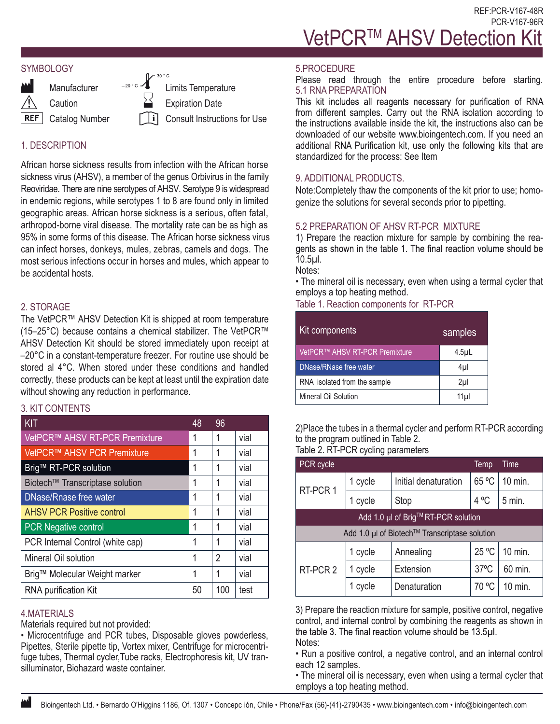#### **SYMBOLOGY**



**Caution** 

**Manufacturer** 

Limits Temperature Expiration Date

Consult Instructions for Use

# 1. DESCRIPTION

African horse sickness results from infection with the African horse sickness virus (AHSV), a member of the genus Orbivirus in the family Reoviridae. There are nine serotypes of AHSV. Serotype 9 is widespread in endemic regions, while serotypes 1 to 8 are found only in limited geographic areas. African horse sickness is a serious, often fatal, arthropod-borne viral disease. The mortality rate can be as high as 95% in some forms of this disease. The African horse sickness virus can infect horses, donkeys, mules, zebras, camels and dogs. The most serious infections occur in horses and mules, which appear to be accidental hosts.

# 2. STORAGE

The VetPCR™ AHSV Detection Kit is shipped at room temperature (15–25°C) because contains a chemical stabilizer. The VetPCR™ AHSV Detection Kit should be stored immediately upon receipt at –20°C in a constant-temperature freezer. For routine use should be stored al 4°C. When stored under these conditions and handled correctly, these products can be kept at least until the expiration date without showing any reduction in performance.

# 3. KIT CONTENTS

| KIT                              | 48 | 96  |      |
|----------------------------------|----|-----|------|
| VetPCR™ AHSV RT-PCR Premixture   |    | 1   | vial |
| VetPCR™ AHSV PCR Premixture      |    | 1   | vial |
| Brig™ RT-PCR solution            |    | 1   | vial |
| Biotech™ Transcriptase solution  |    | 1   | vial |
| DNase/Rnase free water           |    | 1   | vial |
| <b>AHSV PCR Positive control</b> |    | 1   | vial |
| <b>PCR Negative control</b>      |    | 1   | vial |
| PCR Internal Control (white cap) |    | 1   | vial |
| Mineral Oil solution             |    | 2   | vial |
| Brig™ Molecular Weight marker    |    | 1   | vial |
| <b>RNA purification Kit</b>      |    | 100 | test |

### 4.MATERIALS

Materials required but not provided:

• Microcentrifuge and PCR tubes, Disposable gloves powderless, Pipettes, Sterile pipette tip, Vortex mixer, Centrifuge for microcentrifuge tubes, Thermal cycler,Tube racks, Electrophoresis kit, UV transilluminator, Biohazard waste container.

#### 5.PROCEDURE

Please read through the entire procedure before starting. 5.1 RNA PREPARATION<br>This kit includes all reagents necessary for purification of RNA

from different samples. Carry out the RNA isolation according to the instructions available inside the kit, the instructions also can be downloaded of our website www.bioingentech.com. If you need an additional RNA Purification kit, use only the following kits that are standardized for the process: See Item

# 9. ADDITIONAL PRODUCTS.

Note:Completely thaw the components of the kit prior to use; homogenize the solutions for several seconds prior to pipetting.

# 5.2 PREPARATION OF AHSV RT-PCR MIXTURE

1) Prepare the reaction mixture for sample by combining the reagents as shown in the table 1. The final reaction volume should be 10.5µl.

Notes:

• The mineral oil is necessary, even when using a termal cycler that employs a top heating method.

Table 1. Reaction components for RT-PCR

| Kit components                             | samples          |
|--------------------------------------------|------------------|
| VetPCR <sup>™</sup> AHSV RT-PCR Premixture | 4.5 <sub>µ</sub> |
| DNase/RNase free water                     | 4µl              |
| RNA isolated from the sample               | 2 <sub>µ</sub>   |
| Mineral Oil Solution                       | 11 <sub>µ</sub>  |

2)Place the tubes in a thermal cycler and perform RT-PCR according to the program outlined in Table 2. Table 2. RT-PCR cycling parameters

| PCR cycle                                     |         |                      | Temp           | Time    |  |
|-----------------------------------------------|---------|----------------------|----------------|---------|--|
| RT-PCR 1                                      | 1 cycle | Initial denaturation | 65 °C          | 10 min. |  |
|                                               | 1 cycle | Stop                 | 4 °C           | 5 min.  |  |
| Add 1.0 µl of Brig™RT-PCR solution            |         |                      |                |         |  |
| Add 1.0 µl of Biotech™ Transcriptase solution |         |                      |                |         |  |
| RT-PCR 2                                      | 1 cycle | Annealing            | 25 °C          | 10 min. |  |
|                                               | 1 cycle | Extension            | $37^{\circ}$ C | 60 min. |  |
|                                               | 1 cycle | Denaturation         | 70 °C          | 10 min. |  |

3) Prepare the reaction mixture for sample, positive control, negative control, and internal control by combining the reagents as shown in the table 3. The final reaction volume should be 13.5µl. Notes:

• Run a positive control, a negative control, and an internal control each 12 samples.

• The mineral oil is necessary, even when using a termal cycler that employs a top heating method.